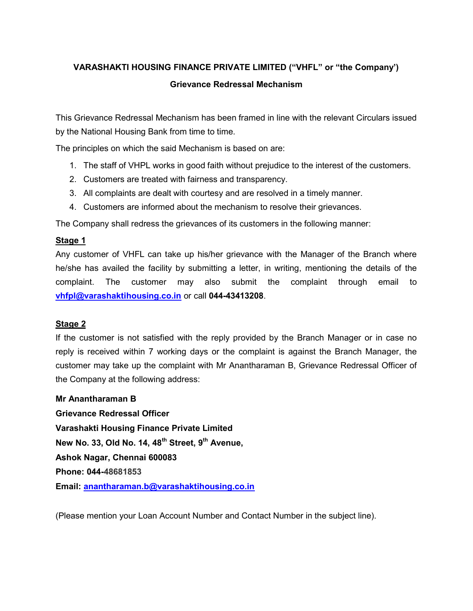# VARASHAKTI HOUSING FINANCE PRIVATE LIMITED ("VHFL" or "the Company') Grievance Redressal Mechanism

This Grievance Redressal Mechanism has been framed in line with the relevant Circulars issued by the National Housing Bank from time to time.

The principles on which the said Mechanism is based on are:

- 1. The staff of VHPL works in good faith without prejudice to the interest of the customers.
- 2. Customers are treated with fairness and transparency.
- 3. All complaints are dealt with courtesy and are resolved in a timely manner.
- 4. Customers are informed about the mechanism to resolve their grievances.

The Company shall redress the grievances of its customers in the following manner:

## Stage 1

Any customer of VHFL can take up his/her grievance with the Manager of the Branch where he/she has availed the facility by submitting a letter, in writing, mentioning the details of the complaint. The customer may also submit the complaint through email to vhfpl@varashaktihousing.co.in or call 044-43413208.

#### Stage 2

If the customer is not satisfied with the reply provided by the Branch Manager or in case no reply is received within 7 working days or the complaint is against the Branch Manager, the customer may take up the complaint with Mr Anantharaman B, Grievance Redressal Officer of the Company at the following address:

#### Mr Anantharaman B

Grievance Redressal Officer Varashakti Housing Finance Private Limited New No. 33, Old No. 14,  $48<sup>th</sup>$  Street,  $9<sup>th</sup>$  Avenue, Ashok Nagar, Chennai 600083 Phone: 044-48681853 Email: anantharaman.b@varashaktihousing.co.in

(Please mention your Loan Account Number and Contact Number in the subject line).